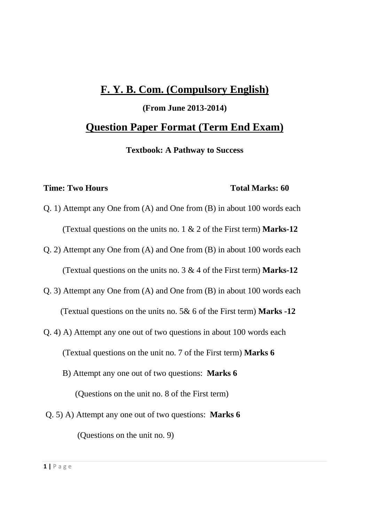## **F. Y. B. Com. (Compulsory English)**

**(From June 2013-2014)** 

## **Question Paper Format (Term End Exam)**

**Textbook: A Pathway to Success** 

### **Time: Two Hours Total Marks: 60**

- Q. 1) Attempt any One from (A) and One from (B) in about 100 words each (Textual questions on the units no. 1 & 2 of the First term) **Marks-12**
- Q. 2) Attempt any One from (A) and One from (B) in about 100 words each (Textual questions on the units no. 3 & 4 of the First term) **Marks-12**
- Q. 3) Attempt any One from (A) and One from (B) in about 100 words each (Textual questions on the units no. 5& 6 of the First term) **Marks -12**
- Q. 4) A) Attempt any one out of two questions in about 100 words each

(Textual questions on the unit no. 7 of the First term) **Marks 6** 

B) Attempt any one out of two questions: **Marks 6** 

(Questions on the unit no. 8 of the First term)

 Q. 5) A) Attempt any one out of two questions: **Marks 6**  (Questions on the unit no. 9)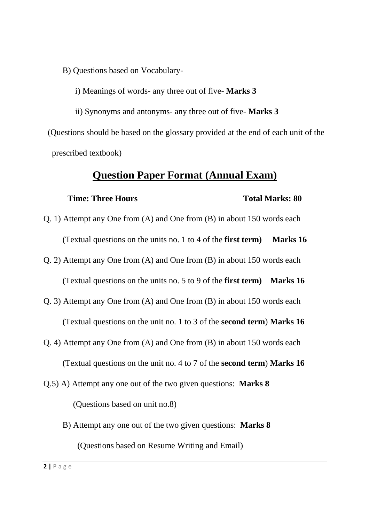B) Questions based on Vocabulary-

i) Meanings of words- any three out of five- **Marks 3** 

 ii) Synonyms and antonyms- any three out of five- **Marks 3**  (Questions should be based on the glossary provided at the end of each unit of the prescribed textbook)

## **Question Paper Format (Annual Exam)**

### **Time: Three Hours Total Marks: 80**

Q. 1) Attempt any One from (A) and One from (B) in about 150 words each (Textual questions on the units no. 1 to 4 of the **first term) Marks 16** 

- Q. 2) Attempt any One from (A) and One from (B) in about 150 words each (Textual questions on the units no. 5 to 9 of the **first term) Marks 16**
- Q. 3) Attempt any One from (A) and One from (B) in about 150 words each (Textual questions on the unit no. 1 to 3 of the **second term**) **Marks 16**
- Q. 4) Attempt any One from (A) and One from (B) in about 150 words each (Textual questions on the unit no. 4 to 7 of the **second term**) **Marks 16**
- Q.5) A) Attempt any one out of the two given questions: **Marks 8**

(Questions based on unit no.8)

 B) Attempt any one out of the two given questions: **Marks 8**  (Questions based on Resume Writing and Email)

**2 |** P a g e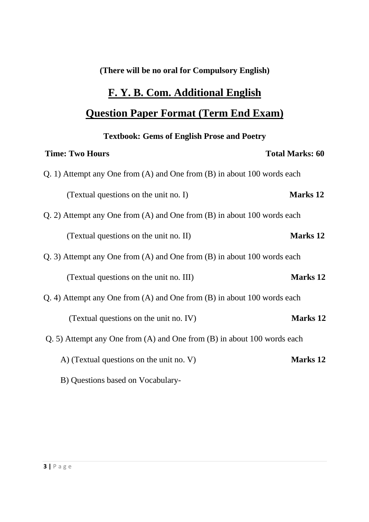## **(There will be no oral for Compulsory English)**

# **F. Y. B. Com. Additional English**

# **Question Paper Format (Term End Exam)**

## **Textbook: Gems of English Prose and Poetry**

| <b>Time: Two Hours</b>                                                         | <b>Total Marks: 60</b> |
|--------------------------------------------------------------------------------|------------------------|
| Q. 1) Attempt any One from (A) and One from (B) in about 100 words each        |                        |
| (Textual questions on the unit no. I)                                          | <b>Marks</b> 12        |
| $Q. 2$ ) Attempt any One from $(A)$ and One from $(B)$ in about 100 words each |                        |
| (Textual questions on the unit no. II)                                         | <b>Marks 12</b>        |
| Q. 3) Attempt any One from $(A)$ and One from $(B)$ in about 100 words each    |                        |
| (Textual questions on the unit no. III)                                        | Marks 12               |
| $Q. 4$ ) Attempt any One from $(A)$ and One from $(B)$ in about 100 words each |                        |
| (Textual questions on the unit no. IV)                                         | <b>Marks</b> 12        |
| Q. 5) Attempt any One from $(A)$ and One from $(B)$ in about 100 words each    |                        |
| A) (Textual questions on the unit no. V)                                       | <b>Marks 12</b>        |
| B) Questions based on Vocabulary-                                              |                        |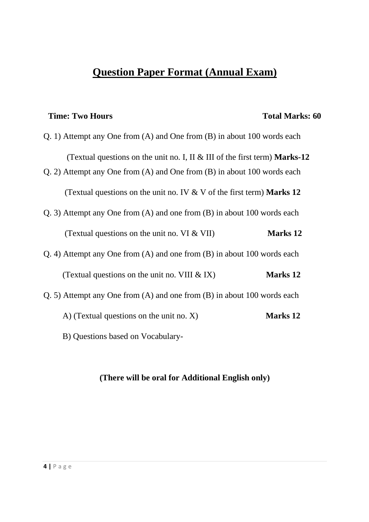# **Question Paper Format (Annual Exam)**

### **Time: Two Hours Total Marks: 60**

| Q. 1) Attempt any One from (A) and One from (B) in about 100 words each        |                 |
|--------------------------------------------------------------------------------|-----------------|
| (Textual questions on the unit no. I, II & III of the first term) Marks-12     |                 |
| Q. 2) Attempt any One from $(A)$ and One from $(B)$ in about 100 words each    |                 |
| (Textual questions on the unit no. IV $&$ V of the first term) Marks 12        |                 |
| Q. 3) Attempt any One from $(A)$ and one from $(B)$ in about 100 words each    |                 |
| (Textual questions on the unit no. VI $&$ VII)                                 | <b>Marks</b> 12 |
| $Q. 4$ ) Attempt any One from $(A)$ and one from $(B)$ in about 100 words each |                 |
| (Textual questions on the unit no. VIII $& IX$ )                               | <b>Marks</b> 12 |
| Q. 5) Attempt any One from $(A)$ and one from $(B)$ in about 100 words each    |                 |
| A) (Textual questions on the unit no. $X$ )                                    | <b>Marks</b> 12 |
| B) Questions based on Vocabulary-                                              |                 |

## **(There will be oral for Additional English only)**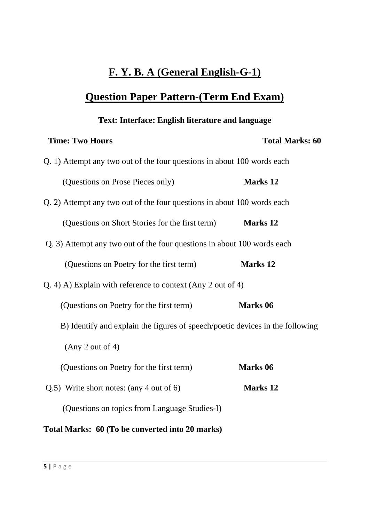# **F. Y. B. A (General English-G-1)**

# **Question Paper Pattern-(Term End Exam)**

# **Text: Interface: English literature and language**

| <b>Time: Two Hours</b>                                                        | <b>Total Marks: 60</b> |  |
|-------------------------------------------------------------------------------|------------------------|--|
| Q. 1) Attempt any two out of the four questions in about 100 words each       |                        |  |
| (Questions on Prose Pieces only)                                              | Marks 12               |  |
| Q. 2) Attempt any two out of the four questions in about 100 words each       |                        |  |
| (Questions on Short Stories for the first term)                               | Marks 12               |  |
| Q. 3) Attempt any two out of the four questions in about 100 words each       |                        |  |
| (Questions on Poetry for the first term)                                      | <b>Marks 12</b>        |  |
| $(Q. 4)$ A) Explain with reference to context (Any 2 out of 4)                |                        |  |
| (Questions on Poetry for the first term)                                      | Marks 06               |  |
| B) Identify and explain the figures of speech/poetic devices in the following |                        |  |
| (Any 2 out of 4)                                                              |                        |  |
| (Questions on Poetry for the first term)                                      | Marks 06               |  |
| $Q.5)$ Write short notes: (any 4 out of 6)                                    | <b>Marks</b> 12        |  |
| (Questions on topics from Language Studies-I)                                 |                        |  |
|                                                                               |                        |  |

## **Total Marks: 60 (To be converted into 20 marks)**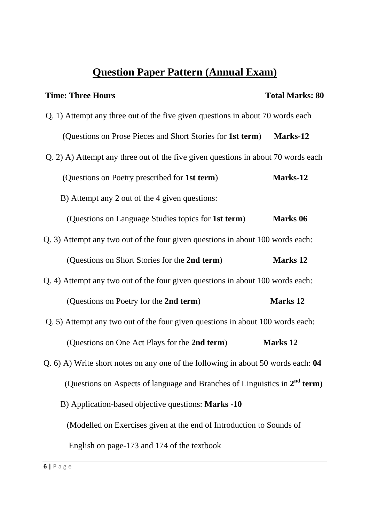# **Question Paper Pattern (Annual Exam)**

**Time: Three Hours Total Marks: 80** 

| Q. 1) Attempt any three out of the five given questions in about 70 words each    |                 |  |  |
|-----------------------------------------------------------------------------------|-----------------|--|--|
| (Questions on Prose Pieces and Short Stories for 1st term)                        | Marks-12        |  |  |
| Q. 2) A) Attempt any three out of the five given questions in about 70 words each |                 |  |  |
| (Questions on Poetry prescribed for 1st term)                                     | Marks-12        |  |  |
| B) Attempt any 2 out of the 4 given questions:                                    |                 |  |  |
| (Questions on Language Studies topics for 1st term)                               | Marks 06        |  |  |
| Q. 3) Attempt any two out of the four given questions in about 100 words each:    |                 |  |  |
| (Questions on Short Stories for the 2nd term)                                     | <b>Marks 12</b> |  |  |
| Q. 4) Attempt any two out of the four given questions in about 100 words each:    |                 |  |  |
| (Questions on Poetry for the 2nd term)                                            | <b>Marks 12</b> |  |  |
| Q. 5) Attempt any two out of the four given questions in about 100 words each:    |                 |  |  |
| (Questions on One Act Plays for the 2nd term)                                     | <b>Marks</b> 12 |  |  |
| Q. 6) A) Write short notes on any one of the following in about 50 words each: 04 |                 |  |  |
| (Questions on Aspects of language and Branches of Linguistics in $2nd$ term)      |                 |  |  |
| B) Application-based objective questions: Marks -10                               |                 |  |  |
| (Modelled on Exercises given at the end of Introduction to Sounds of              |                 |  |  |
| English on page-173 and 174 of the textbook                                       |                 |  |  |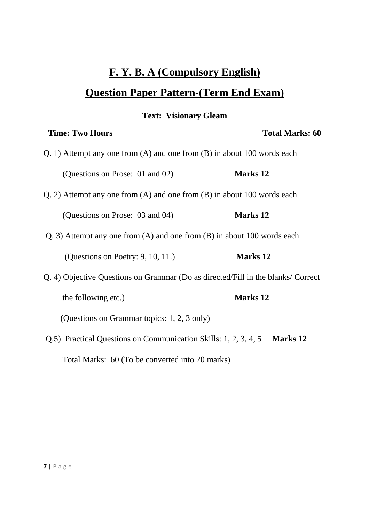# **F. Y. B. A (Compulsory English) Question Paper Pattern-(Term End Exam)**

# **Text: Visionary Gleam**

# **Time: Two Hours Total Marks: 60** Q. 1) Attempt any one from (A) and one from (B) in about 100 words each (Questions on Prose: 01 and 02) **Marks 12**  Q. 2) Attempt any one from (A) and one from (B) in about 100 words each (Questions on Prose: 03 and 04) **Marks 12**  Q. 3) Attempt any one from (A) and one from (B) in about 100 words each (Questions on Poetry: 9, 10, 11.) **Marks 12**  Q. 4) Objective Questions on Grammar (Do as directed/Fill in the blanks/ Correct the following etc.) **Marks 12**  (Questions on Grammar topics: 1, 2, 3 only) Q.5) Practical Questions on Communication Skills: 1, 2, 3, 4, 5 **Marks 12**

Total Marks: 60 (To be converted into 20 marks)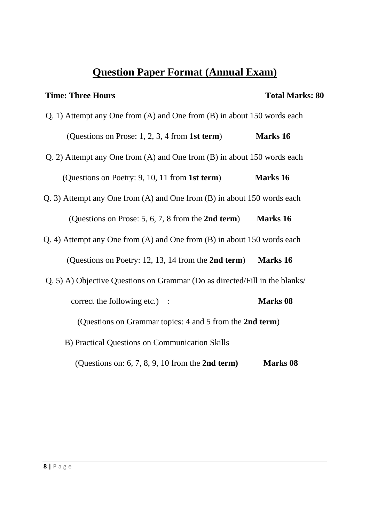## **Question Paper Format (Annual Exam)**

### **Time: Three Hours Total Marks: 80**

- Q. 1) Attempt any One from (A) and One from (B) in about 150 words each (Questions on Prose: 1, 2, 3, 4 from **1st term**) **Marks 16**
- Q. 2) Attempt any One from (A) and One from (B) in about 150 words each (Questions on Poetry: 9, 10, 11 from **1st term**) **Marks 16**
- Q. 3) Attempt any One from (A) and One from (B) in about 150 words each (Questions on Prose: 5, 6, 7, 8 from the **2nd term**) **Marks 16**
- Q. 4) Attempt any One from (A) and One from (B) in about 150 words each (Questions on Poetry: 12, 13, 14 from the **2nd term**) **Marks 16**
- Q. 5) A) Objective Questions on Grammar (Do as directed/Fill in the blanks/ correct the following etc.) : **Marks 08**

(Questions on Grammar topics: 4 and 5 from the **2nd term**)

B) Practical Questions on Communication Skills

(Questions on: 6, 7, 8, 9, 10 from the **2nd term) Marks 08**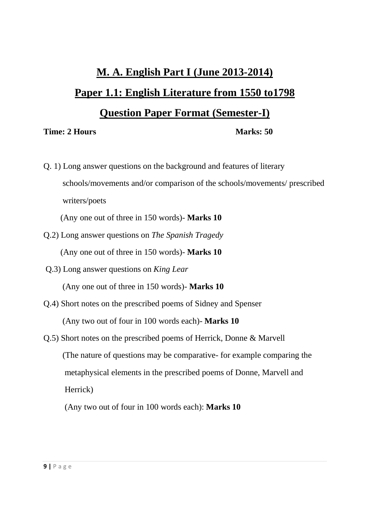# **M. A. English Part I (June 2013-2014) Paper 1.1: English Literature from 1550 to1798 Question Paper Format (Semester-I)**

### **Time: 2 Hours** Marks: 50

Q. 1) Long answer questions on the background and features of literary schools/movements and/or comparison of the schools/movements/ prescribed writers/poets

(Any one out of three in 150 words)- **Marks 10** 

- Q.2) Long answer questions on *The Spanish Tragedy* (Any one out of three in 150 words)- **Marks 10**
- Q.3) Long answer questions on *King Lear*

(Any one out of three in 150 words)- **Marks 10** 

- Q.4) Short notes on the prescribed poems of Sidney and Spenser (Any two out of four in 100 words each)- **Marks 10**
- Q.5) Short notes on the prescribed poems of Herrick, Donne & Marvell (The nature of questions may be comparative- for example comparing the metaphysical elements in the prescribed poems of Donne, Marvell and Herrick)

(Any two out of four in 100 words each): **Marks 10**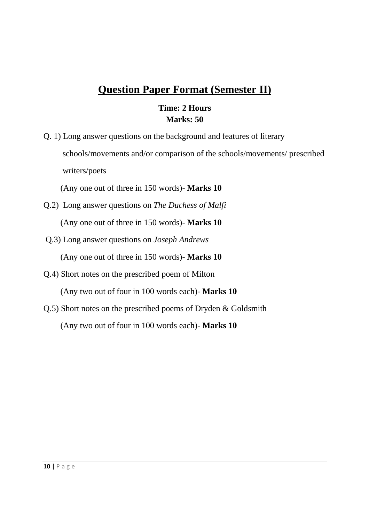# **Question Paper Format (Semester II)**

### **Time: 2 Hours Marks: 50**

Q. 1) Long answer questions on the background and features of literary schools/movements and/or comparison of the schools/movements/ prescribed writers/poets

(Any one out of three in 150 words)- **Marks 10** 

- Q.2) Long answer questions on *The Duchess of Malfi* (Any one out of three in 150 words)- **Marks 10**
- Q.3) Long answer questions on *Joseph Andrews*  (Any one out of three in 150 words)- **Marks 10**
- Q.4) Short notes on the prescribed poem of Milton

(Any two out of four in 100 words each)- **Marks 10** 

Q.5) Short notes on the prescribed poems of Dryden & Goldsmith

(Any two out of four in 100 words each)- **Marks 10**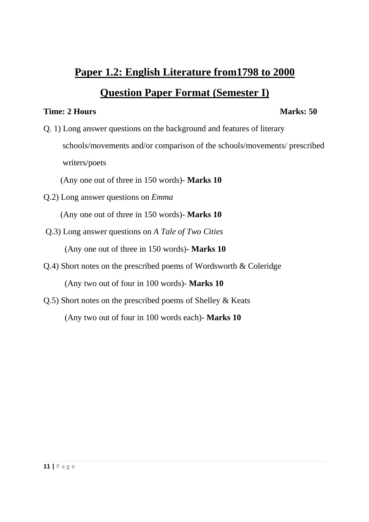# **Paper 1.2: English Literature from1798 to 2000 Question Paper Format (Semester I)**

### **Time: 2 Hours** Marks: 50

Q. 1) Long answer questions on the background and features of literary schools/movements and/or comparison of the schools/movements/ prescribed writers/poets

(Any one out of three in 150 words)- **Marks 10** 

Q.2) Long answer questions on *Emma*

(Any one out of three in 150 words)- **Marks 10** 

Q.3) Long answer questions on *A Tale of Two Cities*

(Any one out of three in 150 words)- **Marks 10** 

- Q.4) Short notes on the prescribed poems of Wordsworth & Coleridge (Any two out of four in 100 words)- **Marks 10**
- Q.5) Short notes on the prescribed poems of Shelley & Keats (Any two out of four in 100 words each)- **Marks 10**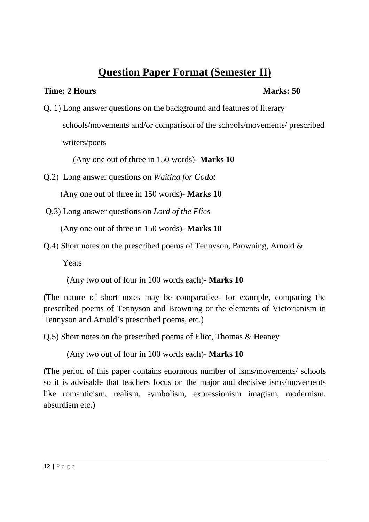# **Question Paper Format (Semester II)**

### **Time: 2 Hours Marks: 50**

Q. 1) Long answer questions on the background and features of literary schools/movements and/or comparison of the schools/movements/ prescribed writers/poets

(Any one out of three in 150 words)- **Marks 10** 

Q.2) Long answer questions on *Waiting for Godot*

(Any one out of three in 150 words)- **Marks 10** 

Q.3) Long answer questions on *Lord of the Flies*

(Any one out of three in 150 words)- **Marks 10** 

Q.4) Short notes on the prescribed poems of Tennyson, Browning, Arnold &

Yeats

(Any two out of four in 100 words each)- **Marks 10** 

(The nature of short notes may be comparative- for example, comparing the prescribed poems of Tennyson and Browning or the elements of Victorianism in Tennyson and Arnold's prescribed poems, etc.)

Q.5) Short notes on the prescribed poems of Eliot, Thomas & Heaney

(Any two out of four in 100 words each)- **Marks 10** 

(The period of this paper contains enormous number of isms/movements/ schools so it is advisable that teachers focus on the major and decisive isms/movements like romanticism, realism, symbolism, expressionism imagism, modernism, absurdism etc.)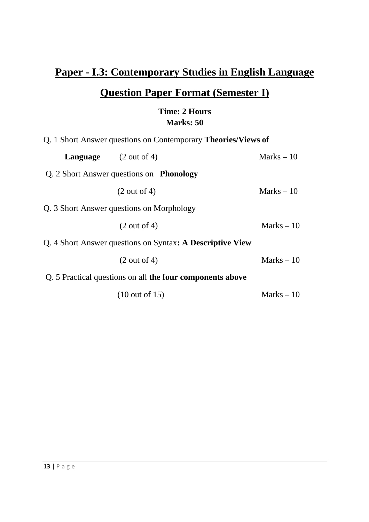# **Paper - I.3: Contemporary Studies in English Language Question Paper Format (Semester I)**

## **Time: 2 Hours Marks: 50**

| Q. 1 Short Answer questions on Contemporary Theories/Views of |                                                           |              |
|---------------------------------------------------------------|-----------------------------------------------------------|--------------|
|                                                               | <b>Language</b> $(2 \text{ out of } 4)$                   | $Marks - 10$ |
|                                                               | Q. 2 Short Answer questions on <b>Phonology</b>           |              |
|                                                               | $(2 \text{ out of } 4)$                                   | $Marks - 10$ |
|                                                               | Q. 3 Short Answer questions on Morphology                 |              |
|                                                               | $(2 \text{ out of } 4)$                                   | $Marks - 10$ |
|                                                               | Q. 4 Short Answer questions on Syntax: A Descriptive View |              |
|                                                               | $(2 \text{ out of } 4)$                                   | $Marks - 10$ |
|                                                               | Q. 5 Practical questions on all the four components above |              |
|                                                               | $(10 \text{ out of } 15)$                                 | $Marks - 10$ |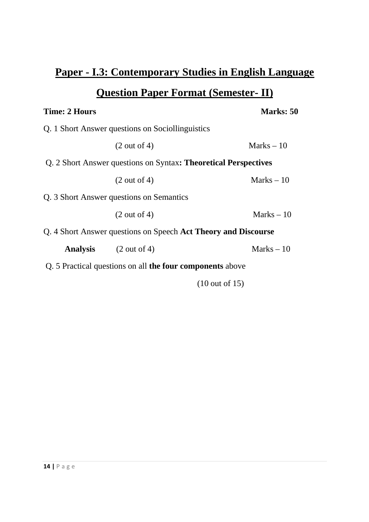# **Paper - I.3: Contemporary Studies in English Language Question Paper Format (Semester- II)**

 $(2 \text{ out of } 4)$  Marks – 10

 $(2 \text{ out of } 4)$  Marks – 10

### **Time: 2 Hours** Marks: 50

Q. 1 Short Answer questions on Sociollinguistics

Q. 2 Short Answer questions on Syntax**: Theoretical Perspectives**

Q. 3 Short Answer questions on Semantics

 $(2 \text{ out of } 4)$  Marks – 10

Q. 4 Short Answer questions on Speech **Act Theory and Discourse** 

**Analysis** (2 out of 4) Marks –  $10$ 

Q. 5 Practical questions on all **the four components** above

(10 out of 15)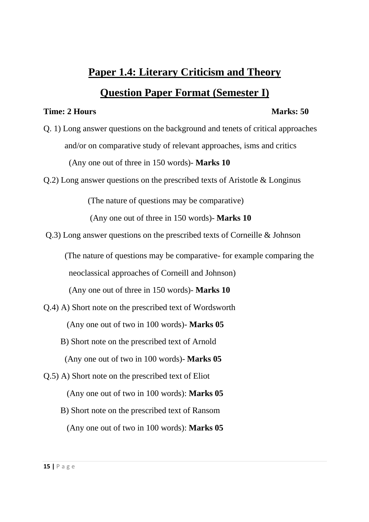# **Paper 1.4: Literary Criticism and Theory Question Paper Format (Semester I)**

### **Time: 2 Hours Marks: 50**

# Q. 1) Long answer questions on the background and tenets of critical approaches and/or on comparative study of relevant approaches, isms and critics (Any one out of three in 150 words)- **Marks 10**

Q.2) Long answer questions on the prescribed texts of Aristotle & Longinus

(The nature of questions may be comparative)

(Any one out of three in 150 words)- **Marks 10** 

Q.3) Long answer questions on the prescribed texts of Corneille & Johnson

(The nature of questions may be comparative- for example comparing the

neoclassical approaches of Corneill and Johnson)

(Any one out of three in 150 words)- **Marks 10** 

Q.4) A) Short note on the prescribed text of Wordsworth

(Any one out of two in 100 words)- **Marks 05** 

B) Short note on the prescribed text of Arnold

(Any one out of two in 100 words)- **Marks 05** 

Q.5) A) Short note on the prescribed text of Eliot

(Any one out of two in 100 words): **Marks 05** 

B) Short note on the prescribed text of Ransom

(Any one out of two in 100 words): **Marks 05**